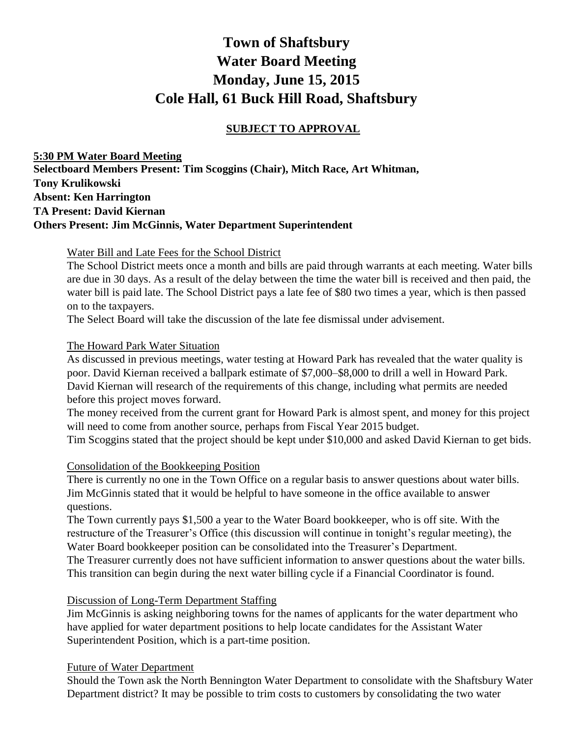# **Town of Shaftsbury Water Board Meeting Monday, June 15, 2015 Cole Hall, 61 Buck Hill Road, Shaftsbury**

## **SUBJECT TO APPROVAL**

**5:30 PM Water Board Meeting Selectboard Members Present: Tim Scoggins (Chair), Mitch Race, Art Whitman, Tony Krulikowski Absent: Ken Harrington TA Present: David Kiernan Others Present: Jim McGinnis, Water Department Superintendent**

Water Bill and Late Fees for the School District

The School District meets once a month and bills are paid through warrants at each meeting. Water bills are due in 30 days. As a result of the delay between the time the water bill is received and then paid, the water bill is paid late. The School District pays a late fee of \$80 two times a year, which is then passed on to the taxpayers.

The Select Board will take the discussion of the late fee dismissal under advisement.

#### The Howard Park Water Situation

As discussed in previous meetings, water testing at Howard Park has revealed that the water quality is poor. David Kiernan received a ballpark estimate of \$7,000–\$8,000 to drill a well in Howard Park. David Kiernan will research of the requirements of this change, including what permits are needed before this project moves forward.

The money received from the current grant for Howard Park is almost spent, and money for this project will need to come from another source, perhaps from Fiscal Year 2015 budget.

Tim Scoggins stated that the project should be kept under \$10,000 and asked David Kiernan to get bids.

#### Consolidation of the Bookkeeping Position

There is currently no one in the Town Office on a regular basis to answer questions about water bills. Jim McGinnis stated that it would be helpful to have someone in the office available to answer questions.

The Town currently pays \$1,500 a year to the Water Board bookkeeper, who is off site. With the restructure of the Treasurer's Office (this discussion will continue in tonight's regular meeting), the Water Board bookkeeper position can be consolidated into the Treasurer's Department.

The Treasurer currently does not have sufficient information to answer questions about the water bills. This transition can begin during the next water billing cycle if a Financial Coordinator is found.

#### Discussion of Long-Term Department Staffing

Jim McGinnis is asking neighboring towns for the names of applicants for the water department who have applied for water department positions to help locate candidates for the Assistant Water Superintendent Position, which is a part-time position.

#### Future of Water Department

Should the Town ask the North Bennington Water Department to consolidate with the Shaftsbury Water Department district? It may be possible to trim costs to customers by consolidating the two water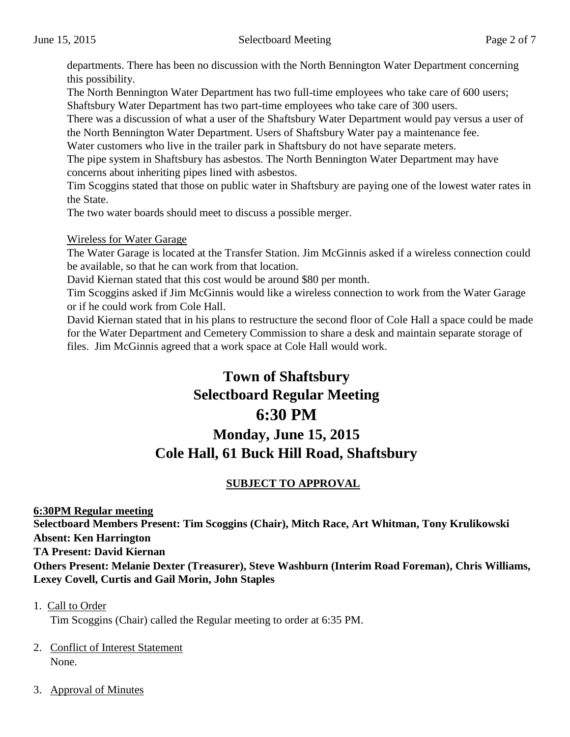departments. There has been no discussion with the North Bennington Water Department concerning this possibility.

The North Bennington Water Department has two full-time employees who take care of 600 users; Shaftsbury Water Department has two part-time employees who take care of 300 users.

There was a discussion of what a user of the Shaftsbury Water Department would pay versus a user of the North Bennington Water Department. Users of Shaftsbury Water pay a maintenance fee.

Water customers who live in the trailer park in Shaftsbury do not have separate meters.

The pipe system in Shaftsbury has asbestos. The North Bennington Water Department may have concerns about inheriting pipes lined with asbestos.

Tim Scoggins stated that those on public water in Shaftsbury are paying one of the lowest water rates in the State.

The two water boards should meet to discuss a possible merger.

#### Wireless for Water Garage

The Water Garage is located at the Transfer Station. Jim McGinnis asked if a wireless connection could be available, so that he can work from that location.

David Kiernan stated that this cost would be around \$80 per month.

Tim Scoggins asked if Jim McGinnis would like a wireless connection to work from the Water Garage or if he could work from Cole Hall.

David Kiernan stated that in his plans to restructure the second floor of Cole Hall a space could be made for the Water Department and Cemetery Commission to share a desk and maintain separate storage of files. Jim McGinnis agreed that a work space at Cole Hall would work.

# **Town of Shaftsbury Selectboard Regular Meeting 6:30 PM Monday, June 15, 2015 Cole Hall, 61 Buck Hill Road, Shaftsbury**

# **SUBJECT TO APPROVAL**

**6:30PM Regular meeting Selectboard Members Present: Tim Scoggins (Chair), Mitch Race, Art Whitman, Tony Krulikowski Absent: Ken Harrington TA Present: David Kiernan Others Present: Melanie Dexter (Treasurer), Steve Washburn (Interim Road Foreman), Chris Williams, Lexey Covell, Curtis and Gail Morin, John Staples**

Tim Scoggins (Chair) called the Regular meeting to order at 6:35 PM.

- 2. Conflict of Interest Statement None.
- 3. Approval of Minutes

<sup>1.</sup> Call to Order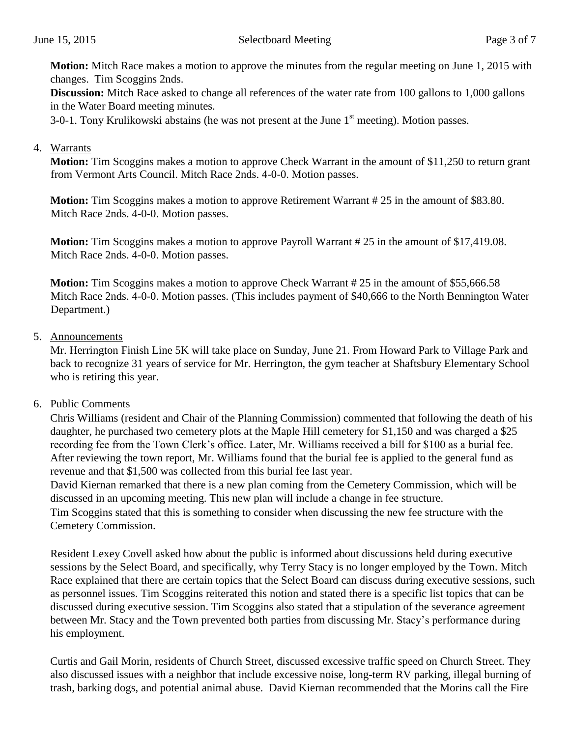**Motion:** Mitch Race makes a motion to approve the minutes from the regular meeting on June 1, 2015 with changes. Tim Scoggins 2nds.

**Discussion:** Mitch Race asked to change all references of the water rate from 100 gallons to 1,000 gallons in the Water Board meeting minutes.

3-0-1. Tony Krulikowski abstains (he was not present at the June 1<sup>st</sup> meeting). Motion passes.

#### 4. Warrants

**Motion:** Tim Scoggins makes a motion to approve Check Warrant in the amount of \$11,250 to return grant from Vermont Arts Council. Mitch Race 2nds. 4-0-0. Motion passes.

**Motion:** Tim Scoggins makes a motion to approve Retirement Warrant # 25 in the amount of \$83.80. Mitch Race 2nds. 4-0-0. Motion passes.

**Motion:** Tim Scoggins makes a motion to approve Payroll Warrant # 25 in the amount of \$17,419.08. Mitch Race 2nds. 4-0-0. Motion passes.

**Motion:** Tim Scoggins makes a motion to approve Check Warrant # 25 in the amount of \$55,666.58 Mitch Race 2nds. 4-0-0. Motion passes. (This includes payment of \$40,666 to the North Bennington Water Department.)

#### 5. Announcements

Mr. Herrington Finish Line 5K will take place on Sunday, June 21. From Howard Park to Village Park and back to recognize 31 years of service for Mr. Herrington, the gym teacher at Shaftsbury Elementary School who is retiring this year.

#### 6. Public Comments

Chris Williams (resident and Chair of the Planning Commission) commented that following the death of his daughter, he purchased two cemetery plots at the Maple Hill cemetery for \$1,150 and was charged a \$25 recording fee from the Town Clerk's office. Later, Mr. Williams received a bill for \$100 as a burial fee. After reviewing the town report, Mr. Williams found that the burial fee is applied to the general fund as revenue and that \$1,500 was collected from this burial fee last year.

David Kiernan remarked that there is a new plan coming from the Cemetery Commission, which will be discussed in an upcoming meeting. This new plan will include a change in fee structure.

Tim Scoggins stated that this is something to consider when discussing the new fee structure with the Cemetery Commission.

Resident Lexey Covell asked how about the public is informed about discussions held during executive sessions by the Select Board, and specifically, why Terry Stacy is no longer employed by the Town. Mitch Race explained that there are certain topics that the Select Board can discuss during executive sessions, such as personnel issues. Tim Scoggins reiterated this notion and stated there is a specific list topics that can be discussed during executive session. Tim Scoggins also stated that a stipulation of the severance agreement between Mr. Stacy and the Town prevented both parties from discussing Mr. Stacy's performance during his employment.

Curtis and Gail Morin, residents of Church Street, discussed excessive traffic speed on Church Street. They also discussed issues with a neighbor that include excessive noise, long-term RV parking, illegal burning of trash, barking dogs, and potential animal abuse. David Kiernan recommended that the Morins call the Fire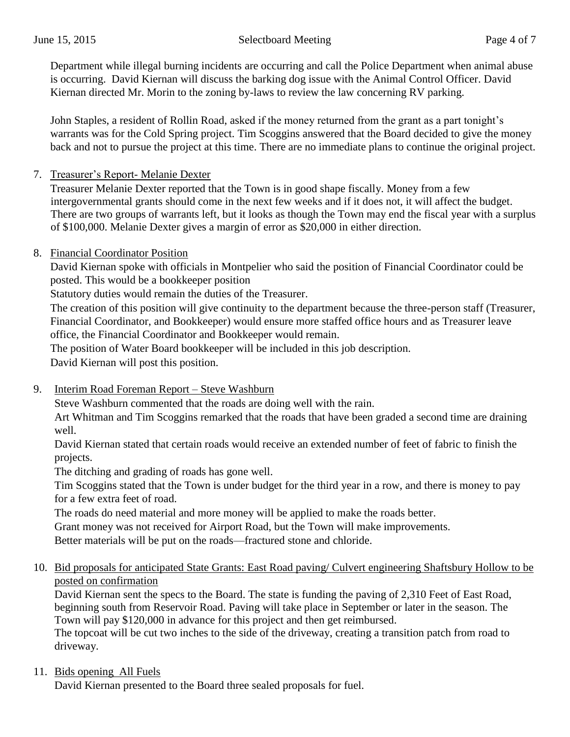Department while illegal burning incidents are occurring and call the Police Department when animal abuse is occurring. David Kiernan will discuss the barking dog issue with the Animal Control Officer. David Kiernan directed Mr. Morin to the zoning by-laws to review the law concerning RV parking.

John Staples, a resident of Rollin Road, asked if the money returned from the grant as a part tonight's warrants was for the Cold Spring project. Tim Scoggins answered that the Board decided to give the money back and not to pursue the project at this time. There are no immediate plans to continue the original project.

7. Treasurer's Report- Melanie Dexter

Treasurer Melanie Dexter reported that the Town is in good shape fiscally. Money from a few intergovernmental grants should come in the next few weeks and if it does not, it will affect the budget. There are two groups of warrants left, but it looks as though the Town may end the fiscal year with a surplus of \$100,000. Melanie Dexter gives a margin of error as \$20,000 in either direction.

8. Financial Coordinator Position

David Kiernan spoke with officials in Montpelier who said the position of Financial Coordinator could be posted. This would be a bookkeeper position

Statutory duties would remain the duties of the Treasurer.

The creation of this position will give continuity to the department because the three-person staff (Treasurer, Financial Coordinator, and Bookkeeper) would ensure more staffed office hours and as Treasurer leave office, the Financial Coordinator and Bookkeeper would remain.

The position of Water Board bookkeeper will be included in this job description.

David Kiernan will post this position.

9. Interim Road Foreman Report – Steve Washburn

Steve Washburn commented that the roads are doing well with the rain.

Art Whitman and Tim Scoggins remarked that the roads that have been graded a second time are draining well.

David Kiernan stated that certain roads would receive an extended number of feet of fabric to finish the projects.

The ditching and grading of roads has gone well.

Tim Scoggins stated that the Town is under budget for the third year in a row, and there is money to pay for a few extra feet of road.

The roads do need material and more money will be applied to make the roads better.

Grant money was not received for Airport Road, but the Town will make improvements.

Better materials will be put on the roads—fractured stone and chloride.

10. Bid proposals for anticipated State Grants: East Road paving/ Culvert engineering Shaftsbury Hollow to be posted on confirmation

David Kiernan sent the specs to the Board. The state is funding the paving of 2,310 Feet of East Road, beginning south from Reservoir Road. Paving will take place in September or later in the season. The Town will pay \$120,000 in advance for this project and then get reimbursed.

The topcoat will be cut two inches to the side of the driveway, creating a transition patch from road to driveway.

## 11. Bids opening All Fuels

David Kiernan presented to the Board three sealed proposals for fuel.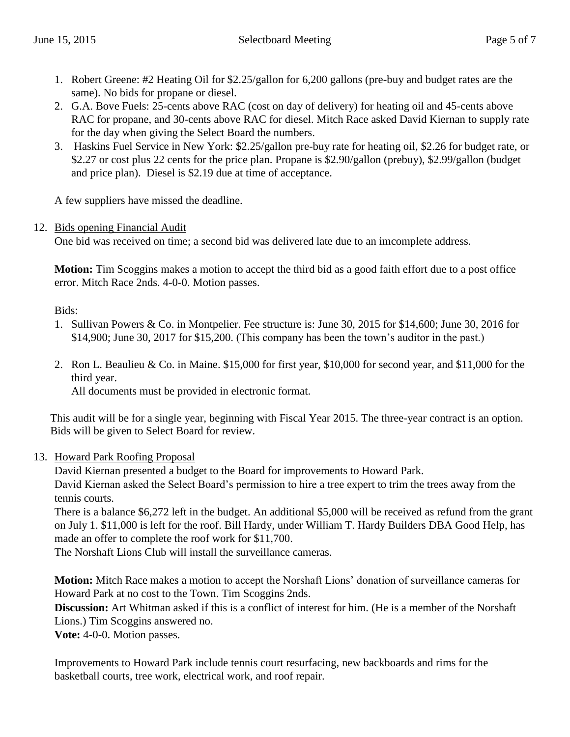- 1. Robert Greene: #2 Heating Oil for \$2.25/gallon for 6,200 gallons (pre-buy and budget rates are the same). No bids for propane or diesel.
- 2. G.A. Bove Fuels: 25-cents above RAC (cost on day of delivery) for heating oil and 45-cents above RAC for propane, and 30-cents above RAC for diesel. Mitch Race asked David Kiernan to supply rate for the day when giving the Select Board the numbers.
- 3. Haskins Fuel Service in New York: \$2.25/gallon pre-buy rate for heating oil, \$2.26 for budget rate, or \$2.27 or cost plus 22 cents for the price plan. Propane is \$2.90/gallon (prebuy), \$2.99/gallon (budget and price plan). Diesel is \$2.19 due at time of acceptance.

A few suppliers have missed the deadline.

#### 12. Bids opening Financial Audit

One bid was received on time; a second bid was delivered late due to an imcomplete address.

**Motion:** Tim Scoggins makes a motion to accept the third bid as a good faith effort due to a post office error. Mitch Race 2nds. 4-0-0. Motion passes.

Bids:

- 1. Sullivan Powers & Co. in Montpelier. Fee structure is: June 30, 2015 for \$14,600; June 30, 2016 for \$14,900; June 30, 2017 for \$15,200. (This company has been the town's auditor in the past.)
- 2. Ron L. Beaulieu & Co. in Maine. \$15,000 for first year, \$10,000 for second year, and \$11,000 for the third year.

All documents must be provided in electronic format.

This audit will be for a single year, beginning with Fiscal Year 2015. The three-year contract is an option. Bids will be given to Select Board for review.

#### 13. Howard Park Roofing Proposal

David Kiernan presented a budget to the Board for improvements to Howard Park. David Kiernan asked the Select Board's permission to hire a tree expert to trim the trees away from the tennis courts.

There is a balance \$6,272 left in the budget. An additional \$5,000 will be received as refund from the grant on July 1. \$11,000 is left for the roof. Bill Hardy, under William T. Hardy Builders DBA Good Help, has made an offer to complete the roof work for \$11,700.

The Norshaft Lions Club will install the surveillance cameras.

**Motion:** Mitch Race makes a motion to accept the Norshaft Lions' donation of surveillance cameras for Howard Park at no cost to the Town. Tim Scoggins 2nds.

**Discussion:** Art Whitman asked if this is a conflict of interest for him. (He is a member of the Norshaft Lions.) Tim Scoggins answered no.

**Vote:** 4-0-0. Motion passes.

Improvements to Howard Park include tennis court resurfacing, new backboards and rims for the basketball courts, tree work, electrical work, and roof repair.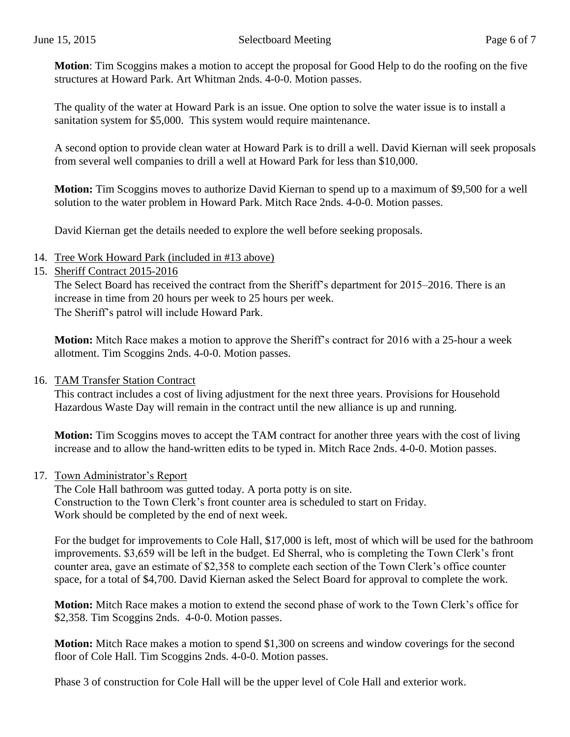**Motion**: Tim Scoggins makes a motion to accept the proposal for Good Help to do the roofing on the five structures at Howard Park. Art Whitman 2nds. 4-0-0. Motion passes.

The quality of the water at Howard Park is an issue. One option to solve the water issue is to install a sanitation system for \$5,000. This system would require maintenance.

A second option to provide clean water at Howard Park is to drill a well. David Kiernan will seek proposals from several well companies to drill a well at Howard Park for less than \$10,000.

**Motion:** Tim Scoggins moves to authorize David Kiernan to spend up to a maximum of \$9,500 for a well solution to the water problem in Howard Park. Mitch Race 2nds. 4-0-0. Motion passes.

David Kiernan get the details needed to explore the well before seeking proposals.

- 14. Tree Work Howard Park (included in #13 above)
- 15. Sheriff Contract 2015-2016

The Select Board has received the contract from the Sheriff's department for 2015–2016. There is an increase in time from 20 hours per week to 25 hours per week. The Sheriff's patrol will include Howard Park.

**Motion:** Mitch Race makes a motion to approve the Sheriff's contract for 2016 with a 25-hour a week allotment. Tim Scoggins 2nds. 4-0-0. Motion passes.

#### 16. TAM Transfer Station Contract

This contract includes a cost of living adjustment for the next three years. Provisions for Household Hazardous Waste Day will remain in the contract until the new alliance is up and running.

**Motion:** Tim Scoggins moves to accept the TAM contract for another three years with the cost of living increase and to allow the hand-written edits to be typed in. Mitch Race 2nds. 4-0-0. Motion passes.

#### 17. Town Administrator's Report

The Cole Hall bathroom was gutted today. A porta potty is on site. Construction to the Town Clerk's front counter area is scheduled to start on Friday. Work should be completed by the end of next week.

For the budget for improvements to Cole Hall, \$17,000 is left, most of which will be used for the bathroom improvements. \$3,659 will be left in the budget. Ed Sherral, who is completing the Town Clerk's front counter area, gave an estimate of \$2,358 to complete each section of the Town Clerk's office counter space, for a total of \$4,700. David Kiernan asked the Select Board for approval to complete the work.

**Motion:** Mitch Race makes a motion to extend the second phase of work to the Town Clerk's office for \$2,358. Tim Scoggins 2nds. 4-0-0. Motion passes.

**Motion:** Mitch Race makes a motion to spend \$1,300 on screens and window coverings for the second floor of Cole Hall. Tim Scoggins 2nds. 4-0-0. Motion passes.

Phase 3 of construction for Cole Hall will be the upper level of Cole Hall and exterior work.